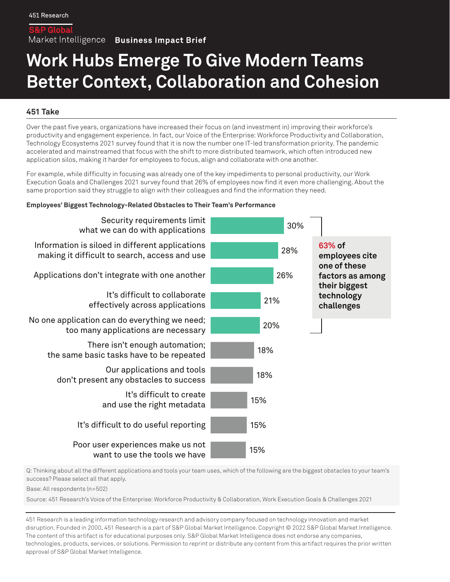Market Intelligence Business Impact Brief

# **Work Hubs Emerge To Give Modern Teams Better Context, Collaboration and Cohesion**

# **451 Take**

Over the past five years, organizations have increased their focus on (and investment in) improving their workforce's productivity and engagement experience. In fact, our Voice of the Enterprise: Workforce Productivity and Collaboration, Technology Ecosystems 2021 survey found that it is now the number one IT-led transformation priority. The pandemic accelerated and mainstreamed that focus with the shift to more distributed teamwork, which often introduced new application silos, making it harder for employees to focus, align and collaborate with one another.

For example, while difficulty in focusing was already one of the key impediments to personal productivity, our Work Execution Goals and Challenges 2021 survey found that 26% of employees now find it even more challenging. About the same proportion said they struggle to align with their colleagues and find the information they need.

#### **Employees' Biggest Technology-Related Obstacles to Their Team's Performance**



Q: Thinking about all the different applications and tools your team uses, which of the following are the biggest obstacles to your team's success? Please select all that apply.

Base: All respondents (n=502)

Source: 451 Research's Voice of the Enterprise: Workforce Productivity & Collaboration, Work Execution Goals & Challenges 2021

451 Research is a leading information technology research and advisory company focused on technology innovation and market disruption. Founded in 2000, 451 Research is a part of S&P Global Market Intelligence. Copyright © 2022 S&P Global Market Intelligence. The content of this artifact is for educational purposes only. S&P Global Market Intelligence does not endorse any companies, technologies, products, services, or solutions. Permission to reprint or distribute any content from this artifact requires the prior written approval of S&P Global Market Intelligence.